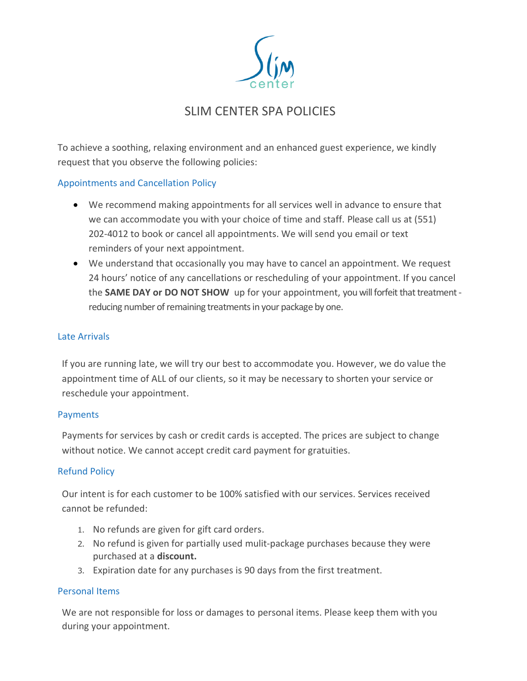

# SLIM CENTER SPA POLICIES

To achieve a soothing, relaxing environment and an enhanced guest experience, we kindly request that you observe the following policies:

## Appointments and Cancellation Policy

- We recommend making appointments for all services well in advance to ensure that we can accommodate you with your choice of time and staff. Please call us at (551) 202-4012 to book or cancel all appointments. We will send you email or text reminders of your next appointment.
- We understand that occasionally you may have to cancel an appointment. We request 24 hours' notice of any cancellations or rescheduling of your appointment. If you cancel the **SAME DAY or DO NOT SHOW** up for your appointment, you will forfeit that treatment reducing number of remaining treatments in your package by one.

## Late Arrivals

If you are running late, we will try our best to accommodate you. However, we do value the appointment time of ALL of our clients, so it may be necessary to shorten your service or reschedule your appointment.

#### **Payments**

Payments for services by cash or credit cards is accepted. The prices are subject to change without notice. We cannot accept credit card payment for gratuities.

## Refund Policy

Our intent is for each customer to be 100% satisfied with our services. Services received cannot be refunded:

- 1. No refunds are given for gift card orders.
- 2. No refund is given for partially used mulit-package purchases because they were purchased at a **discount.**
- 3. Expiration date for any purchases is 90 days from the first treatment.

## Personal Items

We are not responsible for loss or damages to personal items. Please keep them with you during your appointment.